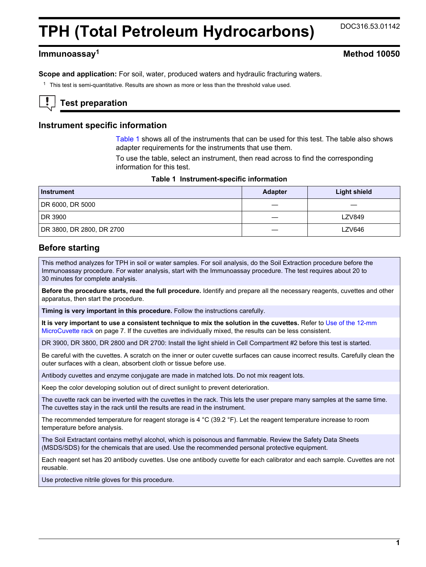# **TPH (Total Petroleum Hydrocarbons)** DOC316.53.01142

# **Immunoassay<sup>1</sup> Method 10050**

**Scope and application:** For soil, water, produced waters and hydraulic fracturing waters.

<sup>1</sup> This test is semi-quantitative. Results are shown as more or less than the threshold value used.

# **Test preparation**

#### **Instrument specific information**

[Table 1](#page-0-0) shows all of the instruments that can be used for this test. The table also shows adapter requirements for the instruments that use them.

To use the table, select an instrument, then read across to find the corresponding information for this test.

<span id="page-0-1"></span><span id="page-0-0"></span>

| Instrument                | <b>Adapter</b> | <b>Light shield</b> |
|---------------------------|----------------|---------------------|
| DR 6000, DR 5000          |                |                     |
| DR 3900                   |                | <b>LZV849</b>       |
| DR 3800, DR 2800, DR 2700 |                | LZV646              |

## **Before starting**

This method analyzes for TPH in soil or water samples. For soil analysis, do the Soil Extraction procedure before the Immunoassay procedure. For water analysis, start with the Immunoassay procedure. The test requires about 20 to 30 minutes for complete analysis.

**Before the procedure starts, read the full procedure.** Identify and prepare all the necessary reagents, cuvettes and other apparatus, then start the procedure.

**Timing is very important in this procedure.** Follow the instructions carefully.

**It is very important to use a consistent technique to mix the solution in the cuvettes.** Refer to [Use of the 12-mm](#page-6-0) [MicroCuvette rack](#page-6-0) on page 7. If the cuvettes are individually mixed, the results can be less consistent.

DR 3900, DR 3800, DR 2800 and DR 2700: Install the light shield in Cell Compartment #2 before this test is started.

Be careful with the cuvettes. A scratch on the inner or outer cuvette surfaces can cause incorrect results. Carefully clean the outer surfaces with a clean, absorbent cloth or tissue before use.

Antibody cuvettes and enzyme conjugate are made in matched lots. Do not mix reagent lots.

Keep the color developing solution out of direct sunlight to prevent deterioration.

The cuvette rack can be inverted with the cuvettes in the rack. This lets the user prepare many samples at the same time. The cuvettes stay in the rack until the results are read in the instrument.

The recommended temperature for reagent storage is 4 °C (39.2 °F). Let the reagent temperature increase to room temperature before analysis.

The Soil Extractant contains methyl alcohol, which is poisonous and flammable. Review the Safety Data Sheets (MSDS/SDS) for the chemicals that are used. Use the recommended personal protective equipment.

Each reagent set has 20 antibody cuvettes. Use one antibody cuvette for each calibrator and each sample. Cuvettes are not reusable.

Use protective nitrile gloves for this procedure.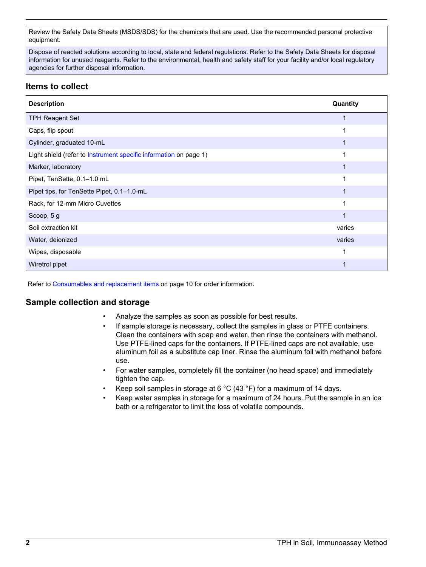Review the Safety Data Sheets (MSDS/SDS) for the chemicals that are used. Use the recommended personal protective equipment.

Dispose of reacted solutions according to local, state and federal regulations. Refer to the Safety Data Sheets for disposal information for unused reagents. Refer to the environmental, health and safety staff for your facility and/or local regulatory agencies for further disposal information.

# **Items to collect**

| <b>Description</b>                                                | Quantity |
|-------------------------------------------------------------------|----------|
| <b>TPH Reagent Set</b>                                            |          |
| Caps, flip spout                                                  |          |
| Cylinder, graduated 10-mL                                         |          |
| Light shield (refer to Instrument specific information on page 1) |          |
| Marker, laboratory                                                |          |
| Pipet, TenSette, 0.1-1.0 mL                                       |          |
| Pipet tips, for TenSette Pipet, 0.1-1.0-mL                        |          |
| Rack, for 12-mm Micro Cuvettes                                    | 1        |
| Scoop, 5 g                                                        |          |
| Soil extraction kit                                               | varies   |
| Water, deionized                                                  | varies   |
| Wipes, disposable                                                 |          |
| Wiretrol pipet                                                    |          |

Refer to [Consumables and replacement items](#page-9-0) on page 10 for order information.

# **Sample collection and storage**

- Analyze the samples as soon as possible for best results.
- If sample storage is necessary, collect the samples in glass or PTFE containers. Clean the containers with soap and water, then rinse the containers with methanol. Use PTFE-lined caps for the containers. If PTFE-lined caps are not available, use aluminum foil as a substitute cap liner. Rinse the aluminum foil with methanol before use.
- For water samples, completely fill the container (no head space) and immediately tighten the cap.
- Keep soil samples in storage at 6 °C (43 °F) for a maximum of 14 days.
- Keep water samples in storage for a maximum of 24 hours. Put the sample in an ice bath or a refrigerator to limit the loss of volatile compounds.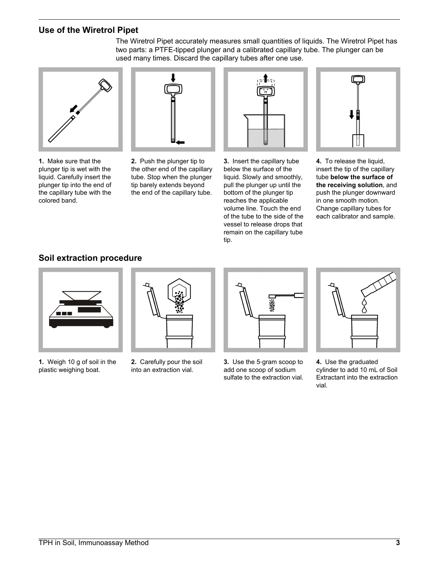# **Use of the Wiretrol Pipet**



**1.** Make sure that the plunger tip is wet with the liquid. Carefully insert the plunger tip into the end of the capillary tube with the colored band.



**2.** Push the plunger tip to the other end of the capillary tube. Stop when the plunger tip barely extends beyond the end of the capillary tube.



The Wiretrol Pipet accurately measures small quantities of liquids. The Wiretrol Pipet has two parts: a PTFE-tipped plunger and a calibrated capillary tube. The plunger can be

> **3.** Insert the capillary tube below the surface of the liquid. Slowly and smoothly, pull the plunger up until the bottom of the plunger tip reaches the applicable volume line. Touch the end of the tube to the side of the vessel to release drops that remain on the capillary tube tip.



**4.** To release the liquid, insert the tip of the capillary tube **below the surface of the receiving solution**, and push the plunger downward in one smooth motion. Change capillary tubes for each calibrator and sample.

# **Soil extraction procedure**

<span id="page-2-0"></span>

- **1.** Weigh 10 g of soil in the plastic weighing boat.
- 
- **2.** Carefully pour the soil into an extraction vial.



**3.** Use the 5‑gram scoop to add one scoop of sodium sulfate to the extraction vial.



**4.** Use the graduated cylinder to add 10 mL of Soil Extractant into the extraction vial.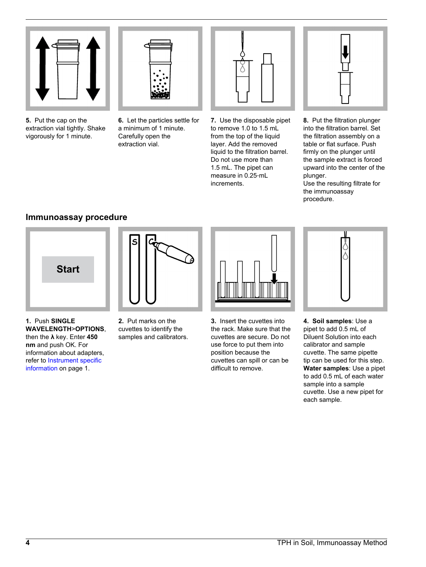

**5.** Put the cap on the extraction vial tightly. Shake vigorously for 1 minute.



**6.** Let the particles settle for a minimum of 1 minute. Carefully open the extraction vial.



**7.** Use the disposable pipet to remove 1.0 to 1.5 mL from the top of the liquid layer. Add the removed liquid to the filtration barrel. Do not use more than 1.5 mL. The pipet can measure in 0.25‑mL increments.



**8.** Put the filtration plunger into the filtration barrel. Set the filtration assembly on a table or flat surface. Push firmly on the plunger until the sample extract is forced upward into the center of the plunger.

Use the resulting filtrate for the immunoassay procedure.

# **Immunoassay procedure**





- **1.** Push **SINGLE WAVELENGTH**>**OPTIONS**, then the **λ** key. Enter **450 nm** and push OK. For information about adapters, refer to [Instrument specific](#page-0-1) [information](#page-0-1) on page 1.
- **2.** Put marks on the cuvettes to identify the samples and calibrators.



**3.** Insert the cuvettes into the rack. Make sure that the cuvettes are secure. Do not use force to put them into position because the cuvettes can spill or can be difficult to remove.



**4. Soil samples**: Use a pipet to add 0.5 mL of Diluent Solution into each calibrator and sample cuvette. The same pipette tip can be used for this step. **Water samples**: Use a pipet to add 0.5 mL of each water sample into a sample cuvette. Use a new pipet for each sample.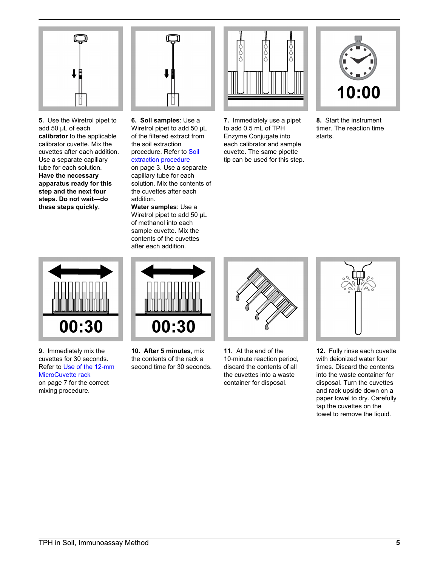

**5.** Use the Wiretrol pipet to add 50 µL of each **calibrator** to the applicable calibrator cuvette. Mix the cuvettes after each addition. Use a separate capillary tube for each solution. **Have the necessary apparatus ready for this step and the next four steps. Do not wait—do these steps quickly.**



**6. Soil samples**: Use a Wiretrol pipet to add 50 µL of the filtered extract from the soil extraction procedure. Refer to [Soil](#page-2-0) [extraction procedure](#page-2-0)

on page 3. Use a separate capillary tube for each solution. Mix the contents of the cuvettes after each addition.

**Water samples**: Use a Wiretrol pipet to add 50 µL of methanol into each sample cuvette. Mix the contents of the cuvettes after each addition.



**7.** Immediately use a pipet to add 0.5 mL of TPH Enzyme Conjugate into each calibrator and sample cuvette. The same pipette tip can be used for this step.



**8.** Start the instrument timer. The reaction time starts.



**9.** Immediately mix the cuvettes for 30 seconds. Refer to [Use of the 12-mm](#page-6-0) [MicroCuvette rack](#page-6-0) on page 7 for the correct mixing procedure.



**10. After 5 minutes**, mix the contents of the rack a second time for 30 seconds.



**11.** At the end of the 10-minute reaction period, discard the contents of all the cuvettes into a waste container for disposal.



**12.** Fully rinse each cuvette with deionized water four times. Discard the contents into the waste container for disposal. Turn the cuvettes and rack upside down on a paper towel to dry. Carefully tap the cuvettes on the towel to remove the liquid.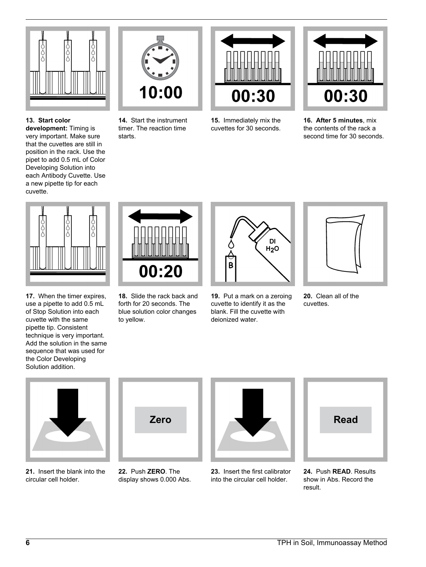

**13. Start color development:** Timing is very important. Make sure that the cuvettes are still in position in the rack. Use the pipet to add 0.5 mL of Color Developing Solution into each Antibody Cuvette. Use a new pipette tip for each cuvette.



**14.** Start the instrument timer. The reaction time starts.



**15.** Immediately mix the cuvettes for 30 seconds.



**16. After 5 minutes**, mix the contents of the rack a second time for 30 seconds.



**17.** When the timer expires, use a pipette to add 0.5 mL of Stop Solution into each cuvette with the same pipette tip. Consistent technique is very important. Add the solution in the same sequence that was used for the Color Developing Solution addition.



**18.** Slide the rack back and forth for 20 seconds. The blue solution color changes to yellow.



**19.** Put a mark on a zeroing cuvette to identify it as the blank. Fill the cuvette with deionized water.



**20.** Clean all of the cuvettes.



**21.** Insert the blank into the circular cell holder.



**22.** Push **ZERO**. The display shows 0.000 Abs.



**23.** Insert the first calibrator into the circular cell holder.



**24.** Push **READ**. Results show in Abs. Record the result.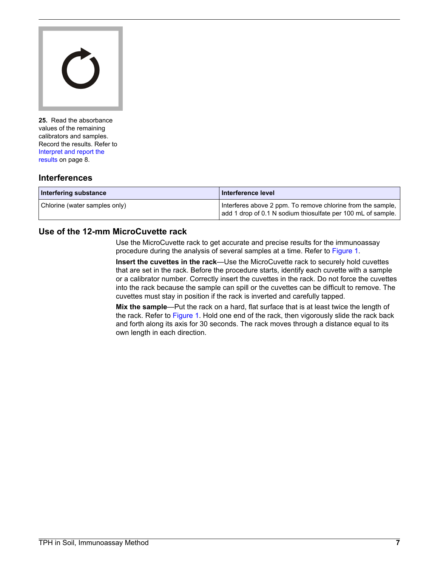

**25.** Read the absorbance values of the remaining calibrators and samples. Record the results. Refer to [Interpret and report the](#page-7-0) [results](#page-7-0) on page 8.

# **Interferences**

<span id="page-6-0"></span>

| Interfering substance         | Interference level                                                                                                          |
|-------------------------------|-----------------------------------------------------------------------------------------------------------------------------|
| Chlorine (water samples only) | Interferes above 2 ppm. To remove chlorine from the sample,<br>add 1 drop of 0.1 N sodium thiosulfate per 100 mL of sample. |

# **Use of the 12-mm MicroCuvette rack**

Use the MicroCuvette rack to get accurate and precise results for the immunoassay procedure during the analysis of several samples at a time. Refer to [Figure 1](#page-7-1).

**Insert the cuvettes in the rack**—Use the MicroCuvette rack to securely hold cuvettes that are set in the rack. Before the procedure starts, identify each cuvette with a sample or a calibrator number. Correctly insert the cuvettes in the rack. Do not force the cuvettes into the rack because the sample can spill or the cuvettes can be difficult to remove. The cuvettes must stay in position if the rack is inverted and carefully tapped.

**Mix the sample**—Put the rack on a hard, flat surface that is at least twice the length of the rack. Refer to [Figure 1](#page-7-1). Hold one end of the rack, then vigorously slide the rack back and forth along its axis for 30 seconds. The rack moves through a distance equal to its own length in each direction.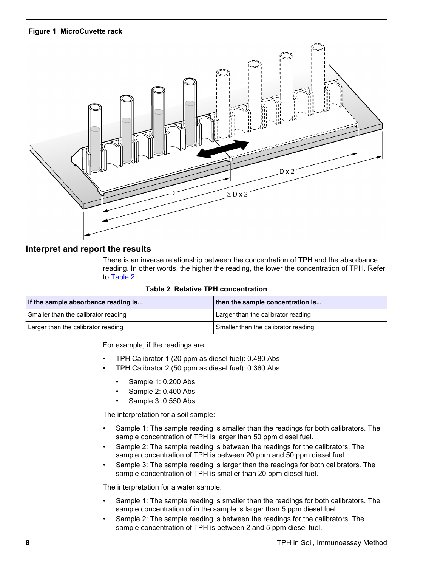#### **Figure 1 MicroCuvette rack**

<span id="page-7-1"></span>

### <span id="page-7-2"></span><span id="page-7-0"></span>**Interpret and report the results**

There is an inverse relationship between the concentration of TPH and the absorbance reading. In other words, the higher the reading, the lower the concentration of TPH. Refer to [Table 2](#page-7-2).

| <b>Table 2 Relative TPH concentration</b> |  |
|-------------------------------------------|--|
|-------------------------------------------|--|

| If the sample absorbance reading is | then the sample concentration is    |
|-------------------------------------|-------------------------------------|
| Smaller than the calibrator reading | Larger than the calibrator reading  |
| Larger than the calibrator reading  | Smaller than the calibrator reading |

For example, if the readings are:

- TPH Calibrator 1 (20 ppm as diesel fuel): 0.480 Abs
- TPH Calibrator 2 (50 ppm as diesel fuel): 0.360 Abs
	- Sample 1: 0.200 Abs
	- Sample 2: 0.400 Abs
	- Sample 3: 0.550 Abs

The interpretation for a soil sample:

- Sample 1: The sample reading is smaller than the readings for both calibrators. The sample concentration of TPH is larger than 50 ppm diesel fuel.
- Sample 2: The sample reading is between the readings for the calibrators. The sample concentration of TPH is between 20 ppm and 50 ppm diesel fuel.
- Sample 3: The sample reading is larger than the readings for both calibrators. The sample concentration of TPH is smaller than 20 ppm diesel fuel.

The interpretation for a water sample:

- Sample 1: The sample reading is smaller than the readings for both calibrators. The sample concentration of in the sample is larger than 5 ppm diesel fuel.
- Sample 2: The sample reading is between the readings for the calibrators. The sample concentration of TPH is between 2 and 5 ppm diesel fuel.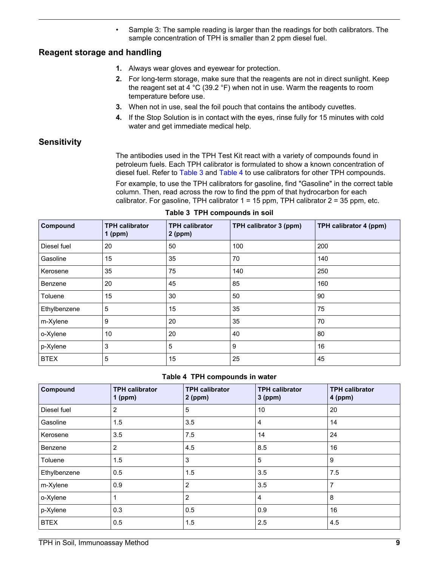• Sample 3: The sample reading is larger than the readings for both calibrators. The sample concentration of TPH is smaller than 2 ppm diesel fuel.

# **Reagent storage and handling**

- **1.** Always wear gloves and eyewear for protection.
- **2.** For long-term storage, make sure that the reagents are not in direct sunlight. Keep the reagent set at 4 °C (39.2 °F) when not in use. Warm the reagents to room temperature before use.
- **3.** When not in use, seal the foil pouch that contains the antibody cuvettes.
- **4.** If the Stop Solution is in contact with the eyes, rinse fully for 15 minutes with cold water and get immediate medical help.

# **Sensitivity**

The antibodies used in the TPH Test Kit react with a variety of compounds found in petroleum fuels. Each TPH calibrator is formulated to show a known concentration of diesel fuel. Refer to [Table 3](#page-8-0) and [Table 4](#page-8-1) to use calibrators for other TPH compounds. For example, to use the TPH calibrators for gasoline, find "Gasoline" in the correct table

column. Then, read across the row to find the ppm of that hydrocarbon for each calibrator. For gasoline, TPH calibrator  $1 = 15$  ppm, TPH calibrator  $2 = 35$  ppm, etc.

<span id="page-8-1"></span><span id="page-8-0"></span>

| Compound     | <b>TPH calibrator</b><br>$1$ (ppm) | <b>TPH calibrator</b><br>$2$ (ppm) | TPH calibrator 3 (ppm) | TPH calibrator 4 (ppm) |
|--------------|------------------------------------|------------------------------------|------------------------|------------------------|
| Diesel fuel  | 20                                 | 50                                 | 100                    | 200                    |
| Gasoline     | 15                                 | 35                                 | 70                     | 140                    |
| Kerosene     | 35                                 | 75                                 | 140                    | 250                    |
| Benzene      | 20                                 | 45                                 | 85                     | 160                    |
| Toluene      | 15                                 | 30                                 | 50                     | 90                     |
| Ethylbenzene | 5                                  | 15                                 | 35                     | 75                     |
| m-Xylene     | 9                                  | 20                                 | 35                     | 70                     |
| o-Xylene     | 10                                 | 20                                 | 40                     | 80                     |
| p-Xylene     | 3                                  | 5                                  | 9                      | 16                     |
| <b>BTEX</b>  | 5                                  | 15                                 | 25                     | 45                     |

#### **Table 3 TPH compounds in soil**

### **Table 4 TPH compounds in water**

| Compound     | <b>TPH calibrator</b><br>$1$ (ppm) | <b>TPH calibrator</b><br>$2$ (ppm) | <b>TPH calibrator</b><br>$3$ (ppm) | <b>TPH calibrator</b><br>$4$ (ppm) |
|--------------|------------------------------------|------------------------------------|------------------------------------|------------------------------------|
| Diesel fuel  | $\overline{2}$                     | 5                                  | 10                                 | 20                                 |
| Gasoline     | 1.5                                | 3.5                                | $\overline{4}$                     | 14                                 |
| Kerosene     | 3.5                                | 7.5                                | 14                                 | 24                                 |
| Benzene      | 2                                  | 4.5                                | 8.5                                | 16                                 |
| Toluene      | 1.5                                | 3                                  | 5                                  | 9                                  |
| Ethylbenzene | 0.5                                | 1.5                                | 3.5                                | 7.5                                |
| m-Xylene     | 0.9                                | $\overline{2}$                     | 3.5                                | 7                                  |
| o-Xylene     | 1                                  | $\overline{2}$                     | $\overline{4}$                     | 8                                  |
| p-Xylene     | 0.3                                | 0.5                                | 0.9                                | 16                                 |
| <b>BTEX</b>  | 0.5                                | 1.5                                | 2.5                                | 4.5                                |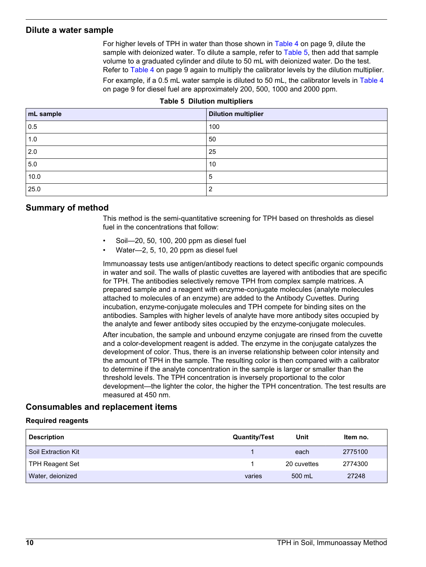#### <span id="page-9-1"></span>**Dilute a water sample**

For higher levels of TPH in water than those shown in [Table 4](#page-8-1) on page 9, dilute the sample with deionized water. To dilute a sample, refer to [Table 5](#page-9-1), then add that sample volume to a graduated cylinder and dilute to 50 mL with deionized water. Do the test. Refer to [Table 4](#page-8-1) on page 9 again to multiply the calibrator levels by the dilution multiplier.

For example, if a 0.5 mL water sample is diluted to 50 mL, the calibrator levels in [Table 4](#page-8-1) on page 9 for diesel fuel are approximately 200, 500, 1000 and 2000 ppm.

| mL sample | <b>Dilution multiplier</b> |
|-----------|----------------------------|
| 0.5       | 100                        |
| 1.0       | 50                         |
| 2.0       | 25                         |
| 5.0       | 10                         |
| 10.0      | 5                          |
| 25.0      | $\overline{2}$             |

#### **Table 5 Dilution multipliers**

#### **Summary of method**

This method is the semi-quantitative screening for TPH based on thresholds as diesel fuel in the concentrations that follow:

- Soil—20, 50, 100, 200 ppm as diesel fuel
- Water—2, 5, 10, 20 ppm as diesel fuel

Immunoassay tests use antigen/antibody reactions to detect specific organic compounds in water and soil. The walls of plastic cuvettes are layered with antibodies that are specific for TPH. The antibodies selectively remove TPH from complex sample matrices. A prepared sample and a reagent with enzyme-conjugate molecules (analyte molecules attached to molecules of an enzyme) are added to the Antibody Cuvettes. During incubation, enzyme-conjugate molecules and TPH compete for binding sites on the antibodies. Samples with higher levels of analyte have more antibody sites occupied by the analyte and fewer antibody sites occupied by the enzyme-conjugate molecules.

After incubation, the sample and unbound enzyme conjugate are rinsed from the cuvette and a color-development reagent is added. The enzyme in the conjugate catalyzes the development of color. Thus, there is an inverse relationship between color intensity and the amount of TPH in the sample. The resulting color is then compared with a calibrator to determine if the analyte concentration in the sample is larger or smaller than the threshold levels. The TPH concentration is inversely proportional to the color development—the lighter the color, the higher the TPH concentration. The test results are measured at 450 nm.

### **Consumables and replacement items**

#### **Required reagents**

<span id="page-9-0"></span>

| <b>Description</b>  | <b>Quantity/Test</b> | Unit        | Item no. |
|---------------------|----------------------|-------------|----------|
| Soil Extraction Kit |                      | each        | 2775100  |
| TPH Reagent Set     |                      | 20 cuvettes | 2774300  |
| Water, deionized    | varies               | 500 mL      | 27248    |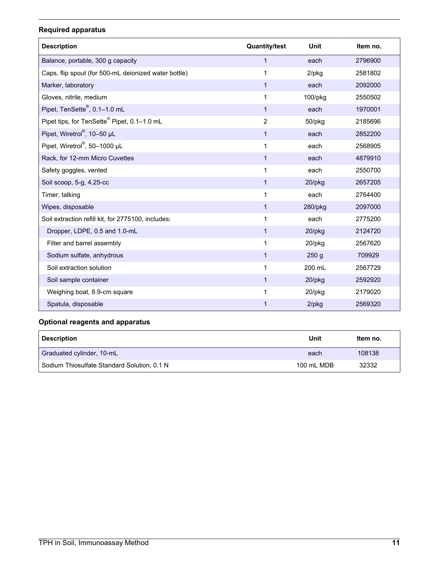# **Required apparatus**

| <b>Description</b>                                      | <b>Quantity/test</b> | Unit             | Item no. |
|---------------------------------------------------------|----------------------|------------------|----------|
| Balance, portable, 300 g capacity                       | $\mathbf{1}$         | each             | 2796900  |
| Caps, flip spout (for 500-mL deionized water bottle)    | 1                    | $2$ /pkg         | 2581802  |
| Marker, laboratory                                      | $\mathbf{1}$         | each             | 2092000  |
| Gloves, nitrile, medium                                 | 1                    | 100/pkg          | 2550502  |
| Pipet, TenSette <sup>®</sup> , 0.1-1.0 mL               | $\mathbf{1}$         | each             | 1970001  |
| Pipet tips, for TenSette <sup>®</sup> Pipet, 0.1-1.0 mL | $\overline{2}$       | 50/pkg           | 2185696  |
| Pipet, Wiretrol®, 10-50 µL                              | $\mathbf{1}$         | each             | 2852200  |
| Pipet, Wiretrol®, 50-1000 µL                            | 1                    | each             | 2568905  |
| Rack, for 12-mm Micro Cuvettes                          | $\mathbf{1}$         | each             | 4879910  |
| Safety goggles, vented                                  | 1                    | each             | 2550700  |
| Soil scoop, 5-g, 4.25-cc                                | $\mathbf{1}$         | 20/pkg           | 2657205  |
| Timer, talking                                          | 1                    | each             | 2764400  |
| Wipes, disposable                                       | $\mathbf{1}$         | 280/pkg          | 2097000  |
| Soil extraction refill kit, for 2775100, includes:      | 1                    | each             | 2775200  |
| Dropper, LDPE, 0.5 and 1.0-mL                           | $\mathbf{1}$         | 20/pkg           | 2124720  |
| Filter and barrel assembly                              | 1                    | 20/pkg           | 2567620  |
| Sodium sulfate, anhydrous                               | $\mathbf{1}$         | 250 <sub>g</sub> | 709929   |
| Soil extraction solution                                | 1                    | 200 mL           | 2567729  |
| Soil sample container                                   | $\mathbf{1}$         | $20$ /pkg        | 2592920  |
| Weighing boat, 8.9-cm square                            | 1                    | 20/pkg           | 2179020  |
| Spatula, disposable                                     | 1                    | $2$ /pkg         | 2569320  |

# **Optional reagents and apparatus**

| <b>Description</b>                          | Unit       | Item no. |
|---------------------------------------------|------------|----------|
| Graduated cylinder, 10-mL                   | each       | 108138   |
| Sodium Thiosulfate Standard Solution, 0.1 N | 100 mL MDB | 32332    |